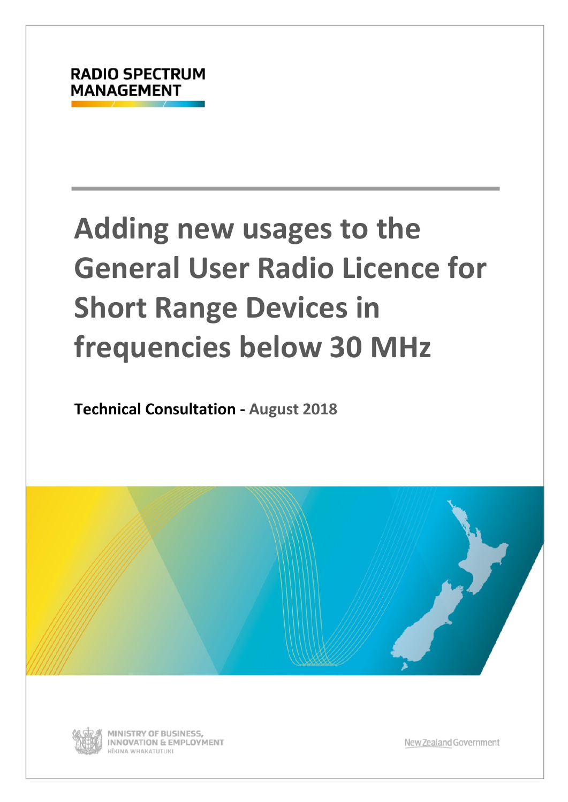# **Adding new usages to the General User Radio Licence for Short Range Devices in frequencies below 30 MHz**

**Technical Consultation - August 2018**





MINISTRY OF BUSINESS, **INNOVATION & EMPLOYMENT** HĪKINA WHAKATUTUKI

New Zealand Government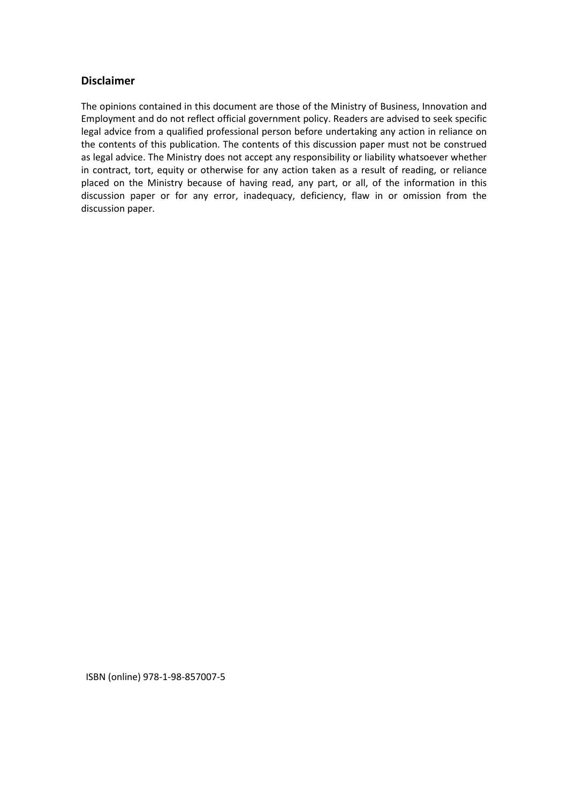### **Disclaimer**

The opinions contained in this document are those of the Ministry of Business, Innovation and Employment and do not reflect official government policy. Readers are advised to seek specific legal advice from a qualified professional person before undertaking any action in reliance on the contents of this publication. The contents of this discussion paper must not be construed as legal advice. The Ministry does not accept any responsibility or liability whatsoever whether in contract, tort, equity or otherwise for any action taken as a result of reading, or reliance placed on the Ministry because of having read, any part, or all, of the information in this discussion paper or for any error, inadequacy, deficiency, flaw in or omission from the discussion paper.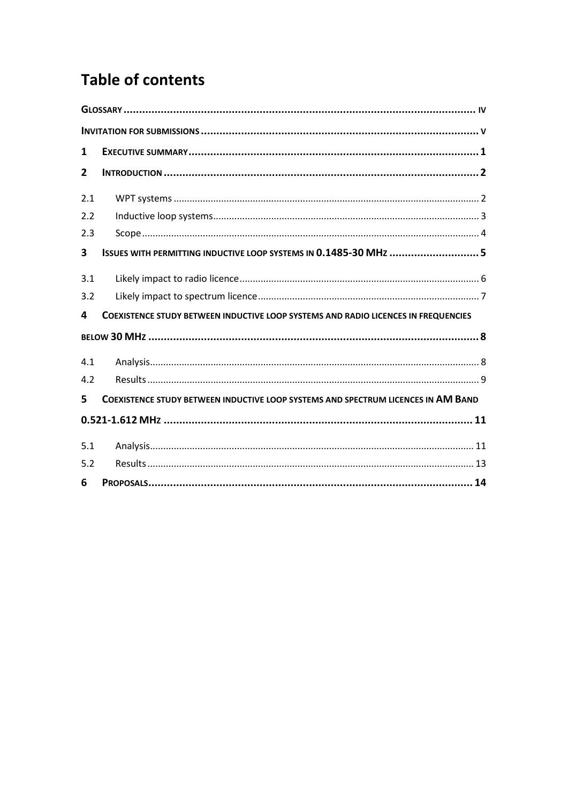# **Table of contents**

| 1              |                                                                                           |
|----------------|-------------------------------------------------------------------------------------------|
| $\overline{2}$ |                                                                                           |
| 2.1            |                                                                                           |
| 2.2            |                                                                                           |
| 2.3            |                                                                                           |
| 3              | ISSUES WITH PERMITTING INDUCTIVE LOOP SYSTEMS IN 0.1485-30 MHz 5                          |
| 3.1            |                                                                                           |
| 3.2            |                                                                                           |
| 4              | <b>COEXISTENCE STUDY BETWEEN INDUCTIVE LOOP SYSTEMS AND RADIO LICENCES IN FREQUENCIES</b> |
|                |                                                                                           |
| 4.1            |                                                                                           |
| 4.2            |                                                                                           |
| 5              | COEXISTENCE STUDY BETWEEN INDUCTIVE LOOP SYSTEMS AND SPECTRUM LICENCES IN AM BAND         |
|                |                                                                                           |
| 5.1            |                                                                                           |
| 5.2            |                                                                                           |
| 6              |                                                                                           |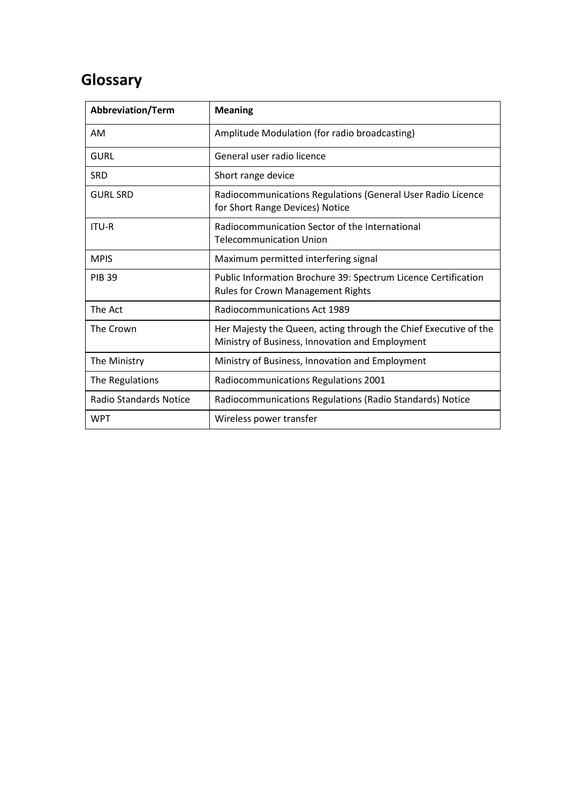# <span id="page-3-0"></span>**Glossary**

| Abbreviation/Term             | <b>Meaning</b>                                                                                                      |
|-------------------------------|---------------------------------------------------------------------------------------------------------------------|
| <b>AM</b>                     | Amplitude Modulation (for radio broadcasting)                                                                       |
| <b>GURL</b>                   | General user radio licence                                                                                          |
| <b>SRD</b>                    | Short range device                                                                                                  |
| <b>GURL SRD</b>               | Radiocommunications Regulations (General User Radio Licence<br>for Short Range Devices) Notice                      |
| <b>ITU-R</b>                  | Radiocommunication Sector of the International<br><b>Telecommunication Union</b>                                    |
| <b>MPIS</b>                   | Maximum permitted interfering signal                                                                                |
| <b>PIB 39</b>                 | Public Information Brochure 39: Spectrum Licence Certification<br><b>Rules for Crown Management Rights</b>          |
| The Act                       | Radiocommunications Act 1989                                                                                        |
| The Crown                     | Her Majesty the Queen, acting through the Chief Executive of the<br>Ministry of Business, Innovation and Employment |
| The Ministry                  | Ministry of Business, Innovation and Employment                                                                     |
| The Regulations               | Radiocommunications Regulations 2001                                                                                |
| <b>Radio Standards Notice</b> | Radiocommunications Regulations (Radio Standards) Notice                                                            |
| <b>WPT</b>                    | Wireless power transfer                                                                                             |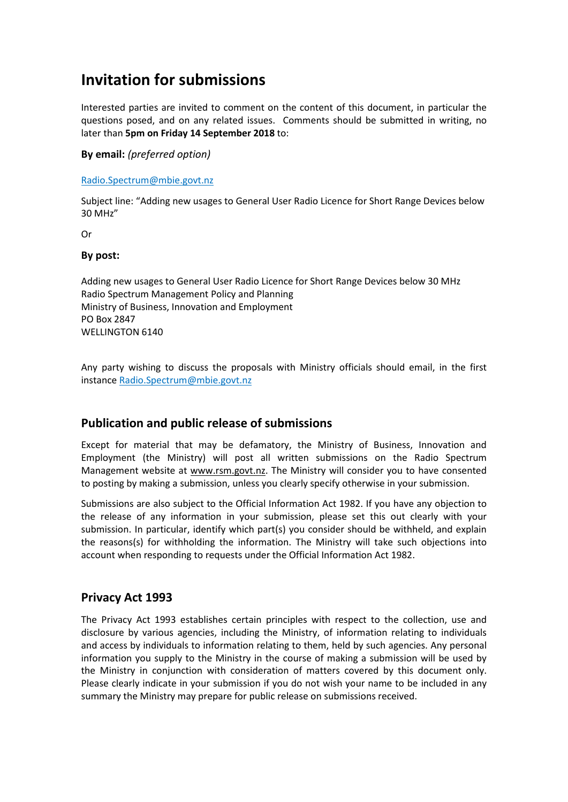# <span id="page-4-0"></span>**Invitation for submissions**

Interested parties are invited to comment on the content of this document, in particular the questions posed, and on any related issues. Comments should be submitted in writing, no later than **5pm on Friday 14 September 2018** to:

**By email:** *(preferred option)*

[Radio.Spectrum@mbie.govt.nz](mailto:Radio.Spectrum@mbie.govt.nz)

Subject line: "Adding new usages to General User Radio Licence for Short Range Devices below 30 MHz"

Or

#### **By post:**

Adding new usages to General User Radio Licence for Short Range Devices below 30 MHz Radio Spectrum Management Policy and Planning Ministry of Business, Innovation and Employment PO Box 2847 WELLINGTON 6140

Any party wishing to discuss the proposals with Ministry officials should email, in the first instance [Radio.Spectrum@mbie.govt.nz](mailto:Radio.Spectrum@mbie.govt.nz)

### **Publication and public release of submissions**

Except for material that may be defamatory, the Ministry of Business, Innovation and Employment (the Ministry) will post all written submissions on the Radio Spectrum Management website at [www.rsm.govt.nz.](http://www.rsm.govt.nz/) The Ministry will consider you to have consented to posting by making a submission, unless you clearly specify otherwise in your submission.

Submissions are also subject to the Official Information Act 1982. If you have any objection to the release of any information in your submission, please set this out clearly with your submission. In particular, identify which part(s) you consider should be withheld, and explain the reasons(s) for withholding the information. The Ministry will take such objections into account when responding to requests under the Official Information Act 1982.

### **Privacy Act 1993**

The Privacy Act 1993 establishes certain principles with respect to the collection, use and disclosure by various agencies, including the Ministry, of information relating to individuals and access by individuals to information relating to them, held by such agencies. Any personal information you supply to the Ministry in the course of making a submission will be used by the Ministry in conjunction with consideration of matters covered by this document only. Please clearly indicate in your submission if you do not wish your name to be included in any summary the Ministry may prepare for public release on submissions received.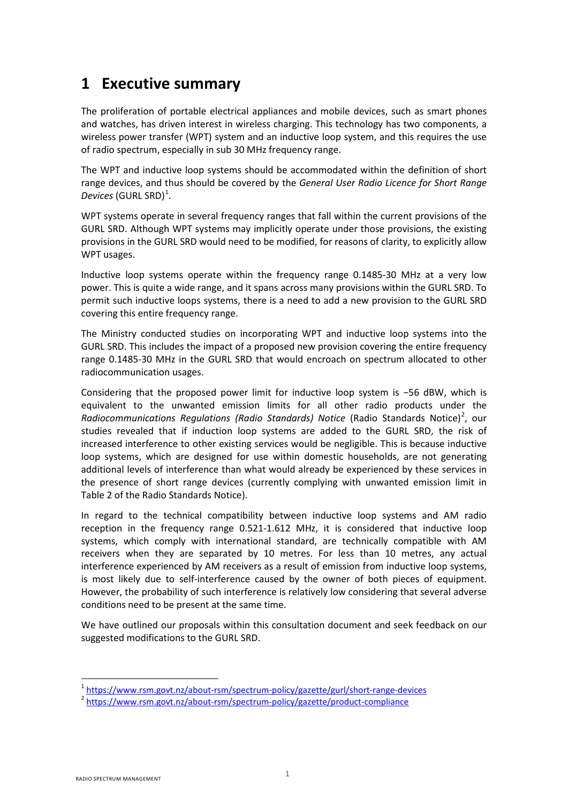# <span id="page-5-0"></span>**1 Executive summary**

The proliferation of portable electrical appliances and mobile devices, such as smart phones and watches, has driven interest in wireless charging. This technology has two components, a wireless power transfer (WPT) system and an inductive loop system, and this requires the use of radio spectrum, especially in sub 30 MHz frequency range.

The WPT and inductive loop systems should be accommodated within the definition of short range devices, and thus should be covered by the *General User Radio Licence for Short Range Devices* (GURL SRD) [1](#page-5-1) .

WPT systems operate in several frequency ranges that fall within the current provisions of the GURL SRD. Although WPT systems may implicitly operate under those provisions, the existing provisions in the GURL SRD would need to be modified, for reasons of clarity, to explicitly allow WPT usages.

Inductive loop systems operate within the frequency range 0.1485-30 MHz at a very low power. This is quite a wide range, and it spans across many provisions within the GURL SRD. To permit such inductive loops systems, there is a need to add a new provision to the GURL SRD covering this entire frequency range.

The Ministry conducted studies on incorporating WPT and inductive loop systems into the GURL SRD. This includes the impact of a proposed new provision covering the entire frequency range 0.1485-30 MHz in the GURL SRD that would encroach on spectrum allocated to other radiocommunication usages.

Considering that the proposed power limit for inductive loop system is −56 dBW, which is equivalent to the unwanted emission limits for all other radio products under the Radiocommunications Regulations (Radio Standards) Notice (Radio Standards Notice)<sup>[2](#page-5-2)</sup>, our studies revealed that if induction loop systems are added to the GURL SRD, the risk of increased interference to other existing services would be negligible. This is because inductive loop systems, which are designed for use within domestic households, are not generating additional levels of interference than what would already be experienced by these services in the presence of short range devices (currently complying with unwanted emission limit in Table 2 of the Radio Standards Notice).

In regard to the technical compatibility between inductive loop systems and AM radio reception in the frequency range 0.521-1.612 MHz, it is considered that inductive loop systems, which comply with international standard, are technically compatible with AM receivers when they are separated by 10 metres. For less than 10 metres, any actual interference experienced by AM receivers as a result of emission from inductive loop systems, is most likely due to self-interference caused by the owner of both pieces of equipment. However, the probability of such interference is relatively low considering that several adverse conditions need to be present at the same time.

We have outlined our proposals within this consultation document and seek feedback on our suggested modifications to the GURL SRD.

**.** 

<span id="page-5-1"></span><sup>&</sup>lt;sup>1</sup> <https://www.rsm.govt.nz/about-rsm/spectrum-policy/gazette/gurl/short-range-devices><br><sup>2</sup> <https://www.rsm.govt.nz/about-rsm/spectrum-policy/gazette/product-compliance>

<span id="page-5-2"></span>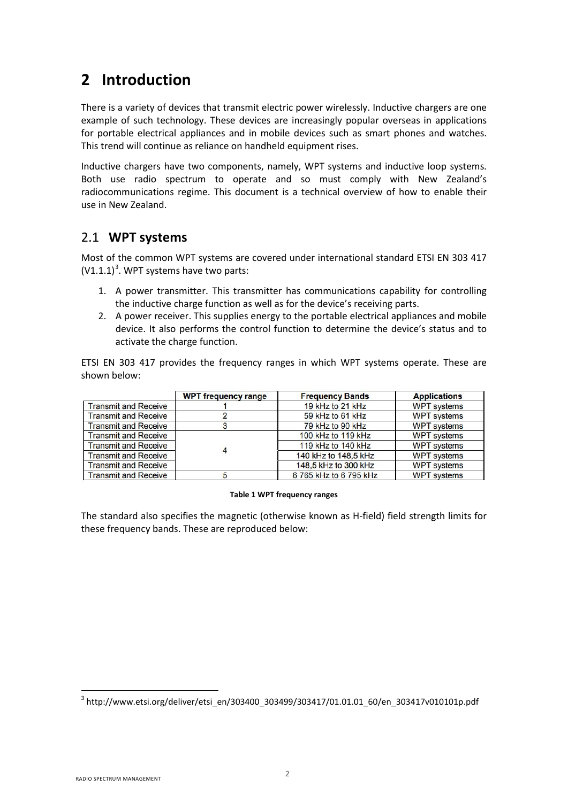# <span id="page-6-0"></span>**2 Introduction**

There is a variety of devices that transmit electric power wirelessly. Inductive chargers are one example of such technology. These devices are increasingly popular overseas in applications for portable electrical appliances and in mobile devices such as smart phones and watches. This trend will continue as reliance on handheld equipment rises.

Inductive chargers have two components, namely, WPT systems and inductive loop systems. Both use radio spectrum to operate and so must comply with New Zealand's radiocommunications regime. This document is a technical overview of how to enable their use in New Zealand.

### <span id="page-6-1"></span>2.1 **WPT systems**

Most of the common WPT systems are covered under international standard ETSI EN 303 417  $(V1.1.1)<sup>3</sup>$  $(V1.1.1)<sup>3</sup>$  $(V1.1.1)<sup>3</sup>$ . WPT systems have two parts:

- 1. A power transmitter. This transmitter has communications capability for controlling the inductive charge function as well as for the device's receiving parts.
- 2. A power receiver. This supplies energy to the portable electrical appliances and mobile device. It also performs the control function to determine the device's status and to activate the charge function.

ETSI EN 303 417 provides the frequency ranges in which WPT systems operate. These are shown below:

|                             | <b>WPT frequency range</b> | <b>Frequency Bands</b> | <b>Applications</b> |
|-----------------------------|----------------------------|------------------------|---------------------|
| <b>Transmit and Receive</b> |                            | 19 kHz to 21 kHz       | <b>WPT</b> systems  |
| <b>Transmit and Receive</b> |                            | 59 kHz to 61 kHz       | <b>WPT</b> systems  |
| <b>Transmit and Receive</b> |                            | 79 kHz to 90 kHz       | <b>WPT</b> systems  |
| <b>Transmit and Receive</b> |                            | 100 kHz to 119 kHz     | <b>WPT</b> systems  |
| <b>Transmit and Receive</b> |                            | 119 kHz to 140 kHz     | <b>WPT</b> systems  |
| <b>Transmit and Receive</b> | 4                          | 140 kHz to 148,5 kHz   | <b>WPT</b> systems  |
| <b>Transmit and Receive</b> |                            | 148,5 kHz to 300 kHz   | <b>WPT</b> systems  |
| <b>Transmit and Receive</b> |                            | 6765 kHz to 6795 kHz   | <b>WPT</b> systems  |

#### **Table 1 WPT frequency ranges**

The standard also specifies the magnetic (otherwise known as H-field) field strength limits for these frequency bands. These are reproduced below:

<span id="page-6-2"></span><sup>&</sup>lt;sup>3</sup> http://www.etsi.org/deliver/etsi\_en/303400\_303499/303417/01.01.01\_60/en\_303417v010101p.pdf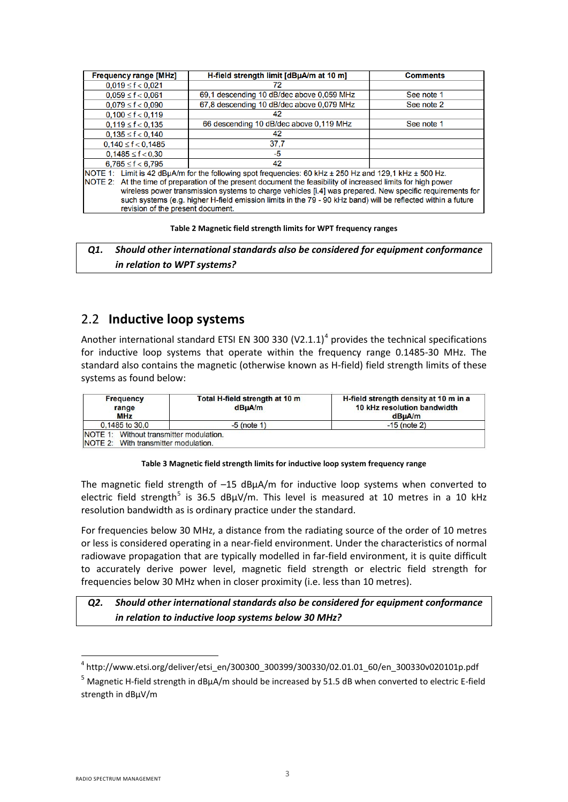| <b>Frequency range [MHz]</b>                                                                                                                                                                                                                                                                                                                                                                                                                                                             | H-field strength limit [dBµA/m at 10 m]   | <b>Comments</b> |  |
|------------------------------------------------------------------------------------------------------------------------------------------------------------------------------------------------------------------------------------------------------------------------------------------------------------------------------------------------------------------------------------------------------------------------------------------------------------------------------------------|-------------------------------------------|-----------------|--|
| $0.019 \le f < 0.021$                                                                                                                                                                                                                                                                                                                                                                                                                                                                    | 72                                        |                 |  |
| $0.059 \le f < 0.061$                                                                                                                                                                                                                                                                                                                                                                                                                                                                    | 69.1 descending 10 dB/dec above 0.059 MHz | See note 1      |  |
| $0.079 \le f < 0.090$                                                                                                                                                                                                                                                                                                                                                                                                                                                                    | 67,8 descending 10 dB/dec above 0,079 MHz | See note 2      |  |
| $0,100 \le f < 0,119$                                                                                                                                                                                                                                                                                                                                                                                                                                                                    | 42                                        |                 |  |
| $0.119 \le f < 0.135$                                                                                                                                                                                                                                                                                                                                                                                                                                                                    | 66 descending 10 dB/dec above 0,119 MHz   | See note 1      |  |
| $0.135 \le f < 0.140$                                                                                                                                                                                                                                                                                                                                                                                                                                                                    | 42                                        |                 |  |
| $0.140 \le f < 0.1485$                                                                                                                                                                                                                                                                                                                                                                                                                                                                   | 37.7                                      |                 |  |
| $0,1485 \le f < 0.30$                                                                                                                                                                                                                                                                                                                                                                                                                                                                    | -5                                        |                 |  |
| $6.765 \le f < 6.795$                                                                                                                                                                                                                                                                                                                                                                                                                                                                    | 42                                        |                 |  |
| NOTE 1: Limit is 42 dBµA/m for the following spot frequencies: 60 kHz ± 250 Hz and 129,1 kHz ± 500 Hz.<br>NOTE 2: At the time of preparation of the present document the feasibility of increased limits for high power<br>wireless power transmission systems to charge vehicles [i.4] was prepared. New specific requirements for<br>such systems (e.g. higher H-field emission limits in the 79 - 90 kHz band) will be reflected within a future<br>revision of the present document. |                                           |                 |  |

#### **Table 2 Magnetic field strength limits for WPT frequency ranges**

*Q1. Should other international standards also be considered for equipment conformance in relation to WPT systems?*

### <span id="page-7-0"></span>2.2 **Inductive loop systems**

Another international standard ETSI EN 300 330  $(V2.1.1)^4$  $(V2.1.1)^4$  provides the technical specifications for inductive loop systems that operate within the frequency range 0.1485-30 MHz. The standard also contains the magnetic (otherwise known as H-field) field strength limits of these systems as found below:

| <b>Frequency</b><br>range<br><b>MHz</b> | Total H-field strength at 10 m<br>dB <sub>µ</sub> A/m | H-field strength density at 10 m in a<br>10 kHz resolution bandwidth<br>dBuA/m |  |
|-----------------------------------------|-------------------------------------------------------|--------------------------------------------------------------------------------|--|
| 0.1485 to 30.0                          | $-5$ (note 1)                                         | $-15$ (note 2)                                                                 |  |
| NOTE 1: Without transmitter modulation. |                                                       |                                                                                |  |
| NOTE 2: With transmitter modulation.    |                                                       |                                                                                |  |

#### **Table 3 Magnetic field strength limits for inductive loop system frequency range**

The magnetic field strength of  $-15$  dB $\mu$ A/m for inductive loop systems when converted to electric field strength<sup>[5](#page-7-2)</sup> is 36.5 dBuV/m. This level is measured at 10 metres in a 10 kHz resolution bandwidth as is ordinary practice under the standard.

For frequencies below 30 MHz, a distance from the radiating source of the order of 10 metres or less is considered operating in a near-field environment. Under the characteristics of normal radiowave propagation that are typically modelled in far-field environment, it is quite difficult to accurately derive power level, magnetic field strength or electric field strength for frequencies below 30 MHz when in closer proximity (i.e. less than 10 metres).

### *Q2. Should other international standards also be considered for equipment conformance in relation to inductive loop systems below 30 MHz?*

<span id="page-7-1"></span> $4$  http://www.etsi.org/deliver/etsi\_en/300300\_300399/300330/02.01.01\_60/en\_300330v020101p.pdf

<span id="page-7-2"></span> $<sup>5</sup>$  Magnetic H-field strength in dBµA/m should be increased by 51.5 dB when converted to electric E-field</sup> strength in dBµV/m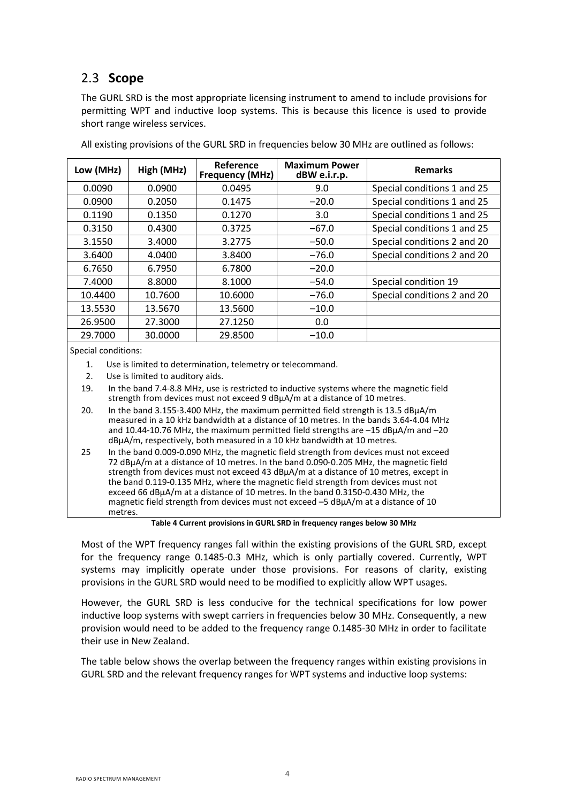# <span id="page-8-0"></span>2.3 **Scope**

The GURL SRD is the most appropriate licensing instrument to amend to include provisions for permitting WPT and inductive loop systems. This is because this licence is used to provide short range wireless services.

| Low (MHz) | High (MHz) | Reference<br><b>Frequency (MHz)</b> | <b>Maximum Power</b><br>dBW e.i.r.p. | <b>Remarks</b>              |
|-----------|------------|-------------------------------------|--------------------------------------|-----------------------------|
| 0.0090    | 0.0900     | 0.0495                              | 9.0                                  | Special conditions 1 and 25 |
| 0.0900    | 0.2050     | 0.1475                              | $-20.0$                              | Special conditions 1 and 25 |
| 0.1190    | 0.1350     | 0.1270                              | 3.0                                  | Special conditions 1 and 25 |
| 0.3150    | 0.4300     | 0.3725                              | $-67.0$                              | Special conditions 1 and 25 |
| 3.1550    | 3.4000     | 3.2775                              | $-50.0$                              | Special conditions 2 and 20 |
| 3.6400    | 4.0400     | 3.8400                              | $-76.0$                              | Special conditions 2 and 20 |
| 6.7650    | 6.7950     | 6.7800                              | $-20.0$                              |                             |
| 7.4000    | 8.8000     | 8.1000                              | $-54.0$                              | Special condition 19        |
| 10.4400   | 10.7600    | 10.6000                             | $-76.0$                              | Special conditions 2 and 20 |
| 13.5530   | 13.5670    | 13.5600                             | $-10.0$                              |                             |
| 26.9500   | 27.3000    | 27.1250                             | 0.0                                  |                             |
| 29.7000   | 30.0000    | 29.8500                             | $-10.0$                              |                             |

All existing provisions of the GURL SRD in frequencies below 30 MHz are outlined as follows:

Special conditions:

- 1. Use is limited to determination, telemetry or telecommand.
- 2. Use is limited to auditory aids.

19. In the band 7.4-8.8 MHz, use is restricted to inductive systems where the magnetic field strength from devices must not exceed 9 dBµA/m at a distance of 10 metres.

- 20. In the band 3.155-3.400 MHz, the maximum permitted field strength is 13.5 dBµA/m measured in a 10 kHz bandwidth at a distance of 10 metres. In the bands 3.64-4.04 MHz and 10.44-10.76 MHz, the maximum permitted field strengths are  $-15$  dB $\mu$ A/m and  $-20$ dBµA/m, respectively, both measured in a 10 kHz bandwidth at 10 metres.
- 25 In the band 0.009-0.090 MHz, the magnetic field strength from devices must not exceed 72 dBµA/m at a distance of 10 metres. In the band 0.090-0.205 MHz, the magnetic field strength from devices must not exceed 43 dBµA/m at a distance of 10 metres, except in the band 0.119-0.135 MHz, where the magnetic field strength from devices must not exceed 66 dBµA/m at a distance of 10 metres. In the band 0.3150-0.430 MHz, the magnetic field strength from devices must not exceed –5 dBµA/m at a distance of 10 metres.

**Table 4 Current provisions in GURL SRD in frequency ranges below 30 MHz**

Most of the WPT frequency ranges fall within the existing provisions of the GURL SRD, except for the frequency range 0.1485-0.3 MHz, which is only partially covered. Currently, WPT systems may implicitly operate under those provisions. For reasons of clarity, existing provisions in the GURL SRD would need to be modified to explicitly allow WPT usages.

However, the GURL SRD is less conducive for the technical specifications for low power inductive loop systems with swept carriers in frequencies below 30 MHz. Consequently, a new provision would need to be added to the frequency range 0.1485-30 MHz in order to facilitate their use in New Zealand.

The table below shows the overlap between the frequency ranges within existing provisions in GURL SRD and the relevant frequency ranges for WPT systems and inductive loop systems: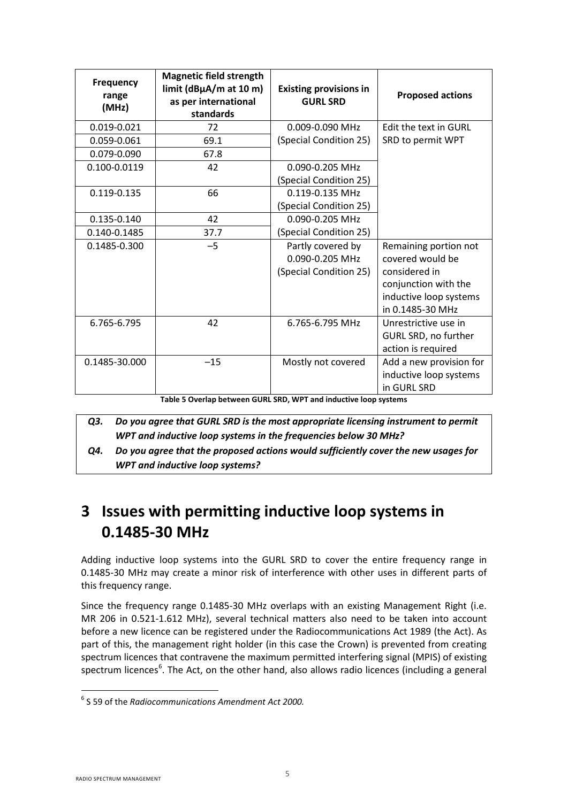| <b>Frequency</b><br>range<br>(MHz) | <b>Magnetic field strength</b><br>$limit$ (dB $\mu$ A/m at 10 m)<br>as per international<br>standards | <b>Existing provisions in</b><br><b>GURL SRD</b>               | <b>Proposed actions</b>                                                                                                          |
|------------------------------------|-------------------------------------------------------------------------------------------------------|----------------------------------------------------------------|----------------------------------------------------------------------------------------------------------------------------------|
| 0.019-0.021                        | 72                                                                                                    | 0.009-0.090 MHz                                                | <b>Fdit the text in GURL</b>                                                                                                     |
| 0.059-0.061                        | 69.1                                                                                                  | (Special Condition 25)                                         | SRD to permit WPT                                                                                                                |
| 0.079-0.090                        | 67.8                                                                                                  |                                                                |                                                                                                                                  |
| 0.100-0.0119                       | 42                                                                                                    | 0.090-0.205 MHz                                                |                                                                                                                                  |
|                                    |                                                                                                       | (Special Condition 25)                                         |                                                                                                                                  |
| 0.119-0.135                        | 66                                                                                                    | 0.119-0.135 MHz                                                |                                                                                                                                  |
|                                    |                                                                                                       | (Special Condition 25)                                         |                                                                                                                                  |
| 0.135-0.140                        | 42                                                                                                    | 0.090-0.205 MHz                                                |                                                                                                                                  |
| 0.140-0.1485                       | 37.7                                                                                                  | (Special Condition 25)                                         |                                                                                                                                  |
| 0.1485-0.300                       | $-5$                                                                                                  | Partly covered by<br>0.090-0.205 MHz<br>(Special Condition 25) | Remaining portion not<br>covered would be<br>considered in<br>conjunction with the<br>inductive loop systems<br>in 0.1485-30 MHz |
| 6.765-6.795                        | 42                                                                                                    | 6.765-6.795 MHz                                                | Unrestrictive use in<br>GURL SRD, no further<br>action is required                                                               |
| 0.1485-30.000                      | $-15$                                                                                                 | Mostly not covered                                             | Add a new provision for<br>inductive loop systems<br>in GURL SRD                                                                 |

**Table 5 Overlap between GURL SRD, WPT and inductive loop systems**

- *Q3. Do you agree that GURL SRD is the most appropriate licensing instrument to permit WPT and inductive loop systems in the frequencies below 30 MHz?*
- *Q4. Do you agree that the proposed actions would sufficiently cover the new usages for WPT and inductive loop systems?*

# <span id="page-9-0"></span>**3 Issues with permitting inductive loop systems in 0.1485-30 MHz**

Adding inductive loop systems into the GURL SRD to cover the entire frequency range in 0.1485-30 MHz may create a minor risk of interference with other uses in different parts of this frequency range.

Since the frequency range 0.1485-30 MHz overlaps with an existing Management Right (i.e. MR 206 in 0.521-1.612 MHz), several technical matters also need to be taken into account before a new licence can be registered under the Radiocommunications Act 1989 (the Act). As part of this, the management right holder (in this case the Crown) is prevented from creating spectrum licences that contravene the maximum permitted interfering signal (MPIS) of existing spectrum licences<sup>[6](#page-9-1)</sup>. The Act, on the other hand, also allows radio licences (including a general

<span id="page-9-1"></span><sup>6</sup> S 59 of the *Radiocommunications Amendment Act 2000.*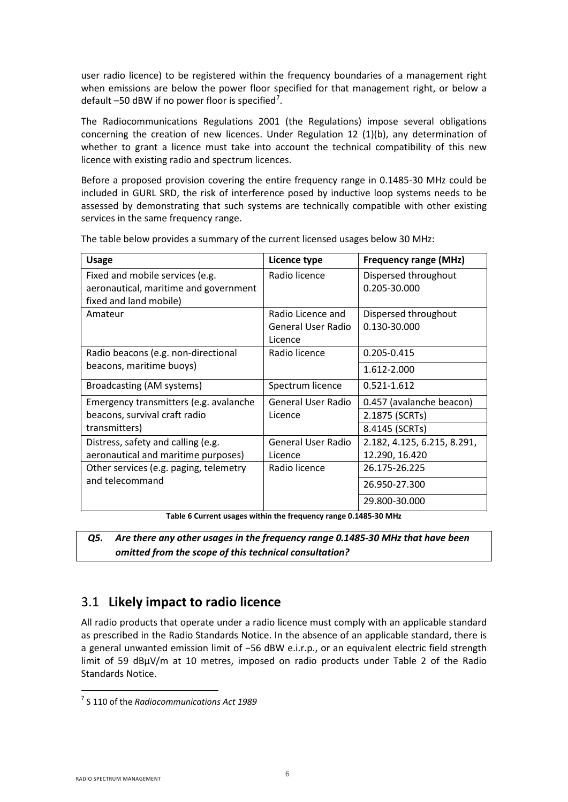user radio licence) to be registered within the frequency boundaries of a management right when emissions are below the power floor specified for that management right, or below a default  $-50$  dBW if no power floor is specified<sup>[7](#page-10-1)</sup>.

The Radiocommunications Regulations 2001 (the Regulations) impose several obligations concerning the creation of new licences. Under Regulation 12 (1)(b), any determination of whether to grant a licence must take into account the technical compatibility of this new licence with existing radio and spectrum licences.

Before a proposed provision covering the entire frequency range in 0.1485-30 MHz could be included in GURL SRD, the risk of interference posed by inductive loop systems needs to be assessed by demonstrating that such systems are technically compatible with other existing services in the same frequency range.

| <b>Usage</b>                           | Licence type              | <b>Frequency range (MHz)</b> |
|----------------------------------------|---------------------------|------------------------------|
| Fixed and mobile services (e.g.        | Radio licence             | Dispersed throughout         |
| aeronautical, maritime and government  |                           | 0.205-30.000                 |
| fixed and land mobile)                 |                           |                              |
| Amateur                                | Radio Licence and         | Dispersed throughout         |
|                                        | General User Radio        | 0.130-30.000                 |
|                                        | Licence                   |                              |
| Radio beacons (e.g. non-directional    | Radio licence             | 0.205-0.415                  |
| beacons, maritime buoys)               |                           | 1.612-2.000                  |
| Broadcasting (AM systems)              | Spectrum licence          | 0.521-1.612                  |
| Emergency transmitters (e.g. avalanche | General User Radio        | 0.457 (avalanche beacon)     |
| beacons, survival craft radio          | Licence                   | 2.1875 (SCRTs)               |
| transmitters)                          |                           | 8.4145 (SCRTs)               |
| Distress, safety and calling (e.g.     | <b>General User Radio</b> | 2.182, 4.125, 6.215, 8.291,  |
| aeronautical and maritime purposes)    | Licence                   | 12.290, 16.420               |
| Other services (e.g. paging, telemetry | Radio licence             | 26.175-26.225                |
| and telecommand                        |                           | 26.950-27.300                |
|                                        |                           | 29.800-30.000                |

The table below provides a summary of the current licensed usages below 30 MHz:

**Table 6 Current usages within the frequency range 0.1485-30 MHz**

<span id="page-10-2"></span>*Q5. Are there any other usages in the frequency range 0.1485-30 MHz that have been omitted from the scope of this technical consultation?* 

### <span id="page-10-0"></span>3.1 **Likely impact to radio licence**

All radio products that operate under a radio licence must comply with an applicable standard as prescribed in the Radio Standards Notice. In the absence of an applicable standard, there is a general unwanted emission limit of −56 dBW e.i.r.p., or an equivalent electric field strength limit of 59 dBμV/m at 10 metres, imposed on radio products under Table 2 of the Radio Standards Notice.

<span id="page-10-1"></span><sup>7</sup> S 110 of the *Radiocommunications Act 1989*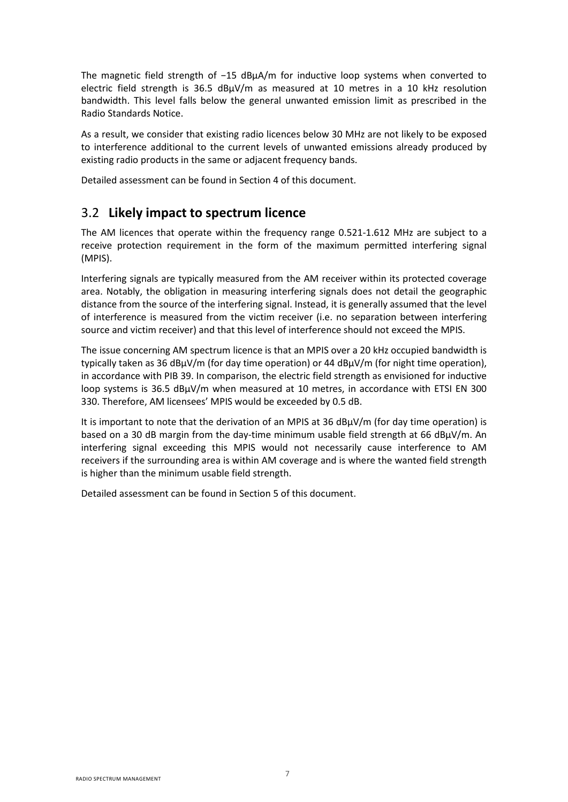The magnetic field strength of −15 dBµA/m for inductive loop systems when converted to electric field strength is 36.5 dBμV/m as measured at 10 metres in a 10 kHz resolution bandwidth. This level falls below the general unwanted emission limit as prescribed in the Radio Standards Notice.

As a result, we consider that existing radio licences below 30 MHz are not likely to be exposed to interference additional to the current levels of unwanted emissions already produced by existing radio products in the same or adjacent frequency bands.

Detailed assessment can be found in Section 4 of this document.

### <span id="page-11-0"></span>3.2 **Likely impact to spectrum licence**

The AM licences that operate within the frequency range 0.521-1.612 MHz are subject to a receive protection requirement in the form of the maximum permitted interfering signal (MPIS).

Interfering signals are typically measured from the AM receiver within its protected coverage area. Notably, the obligation in measuring interfering signals does not detail the geographic distance from the source of the interfering signal. Instead, it is generally assumed that the level of interference is measured from the victim receiver (i.e. no separation between interfering source and victim receiver) and that this level of interference should not exceed the MPIS.

The issue concerning AM spectrum licence is that an MPIS over a 20 kHz occupied bandwidth is typically taken as 36 dBμV/m (for day time operation) or 44 dBμV/m (for night time operation), in accordance with PIB 39. In comparison, the electric field strength as envisioned for inductive loop systems is 36.5 dBμV/m when measured at 10 metres, in accordance with ETSI EN 300 330. Therefore, AM licensees' MPIS would be exceeded by 0.5 dB.

It is important to note that the derivation of an MPIS at 36  $dB\mu V/m$  (for day time operation) is based on a 30 dB margin from the day-time minimum usable field strength at 66 dBμV/m. An interfering signal exceeding this MPIS would not necessarily cause interference to AM receivers if the surrounding area is within AM coverage and is where the wanted field strength is higher than the minimum usable field strength.

Detailed assessment can be found in Section 5 of this document.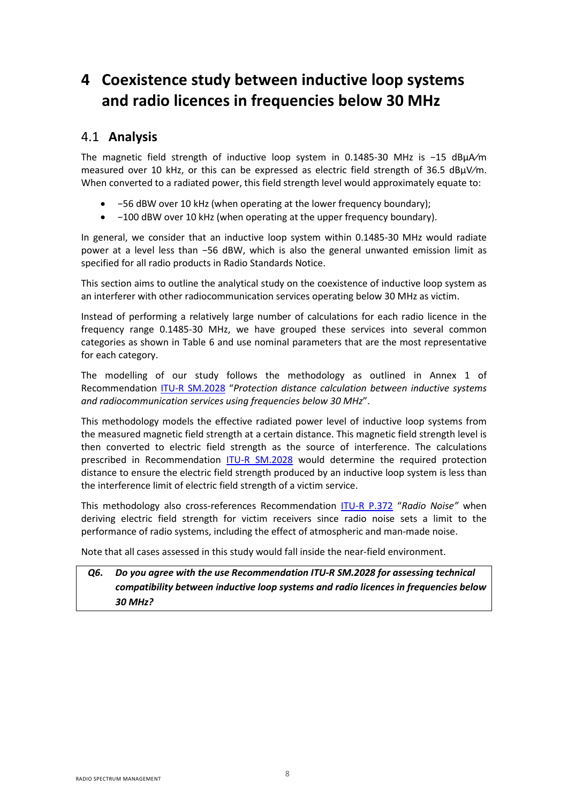# <span id="page-12-0"></span>**4 Coexistence study between inductive loop systems and radio licences in frequencies below 30 MHz**

### <span id="page-12-1"></span>4.1 **Analysis**

The magnetic field strength of inductive loop system in 0.1485-30 MHz is −15 dBμA⁄m measured over 10 kHz, or this can be expressed as electric field strength of 36.5 dBμV⁄m. When converted to a radiated power, this field strength level would approximately equate to:

- −56 dBW over 10 kHz (when operating at the lower frequency boundary);
- −100 dBW over 10 kHz (when operating at the upper frequency boundary).

In general, we consider that an inductive loop system within 0.1485-30 MHz would radiate power at a level less than −56 dBW, which is also the general unwanted emission limit as specified for all radio products in Radio Standards Notice.

This section aims to outline the analytical study on the coexistence of inductive loop system as an interferer with other radiocommunication services operating below 30 MHz as victim.

Instead of performing a relatively large number of calculations for each radio licence in the frequency range 0.1485-30 MHz, we have grouped these services into several common categories as shown in [Table 6](#page-10-2) and use nominal parameters that are the most representative for each category.

The modelling of our study follows the methodology as outlined in Annex 1 of Recommendation [ITU-R SM.2028](https://www.itu.int/rec/R-REC-SM.2028/en) "*Protection distance calculation between inductive systems and radiocommunication services using frequencies below 30 MHz*".

This methodology models the effective radiated power level of inductive loop systems from the measured magnetic field strength at a certain distance. This magnetic field strength level is then converted to electric field strength as the source of interference. The calculations prescribed in Recommendation [ITU-R SM.2028](https://www.itu.int/rec/R-REC-SM.2028/en) would determine the required protection distance to ensure the electric field strength produced by an inductive loop system is less than the interference limit of electric field strength of a victim service.

This methodology also cross-references Recommendation [ITU-R P.372](https://www.itu.int/rec/R-REC-P.372/en) "*Radio Noise"* when deriving electric field strength for victim receivers since radio noise sets a limit to the performance of radio systems, including the effect of atmospheric and man-made noise.

Note that all cases assessed in this study would fall inside the near-field environment.

### *Q6. Do you agree with the use Recommendation ITU-R SM.2028 for assessing technical compatibility between inductive loop systems and radio licences in frequencies below 30 MHz?*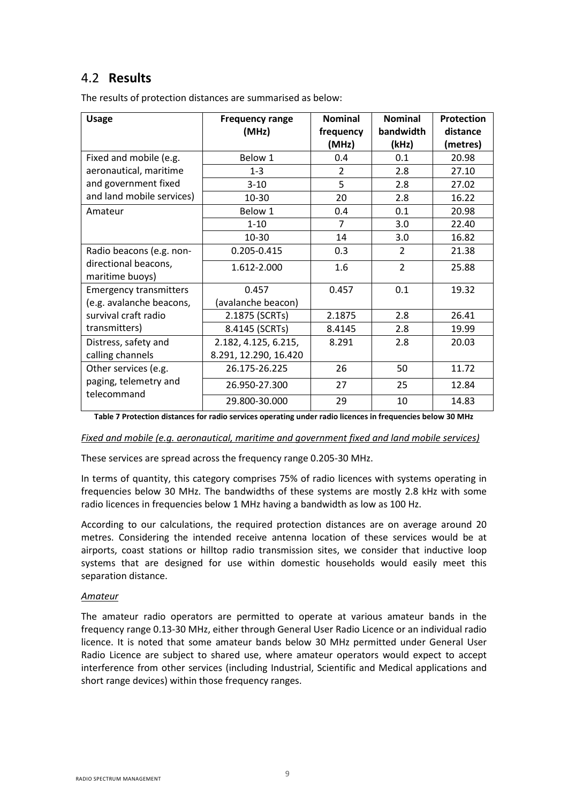# <span id="page-13-0"></span>4.2 **Results**

| <b>Usage</b>                         | <b>Frequency range</b> | <b>Nominal</b> | <b>Nominal</b> | <b>Protection</b> |
|--------------------------------------|------------------------|----------------|----------------|-------------------|
|                                      | (MHz)                  | frequency      | bandwidth      | distance          |
|                                      |                        | (MHz)          | (kHz)          | (metres)          |
| Fixed and mobile (e.g.               | Below 1                | 0.4            | 0.1            | 20.98             |
| aeronautical, maritime               | $1 - 3$                | $\overline{2}$ | 2.8            | 27.10             |
| and government fixed                 | $3 - 10$               | 5              | 2.8            | 27.02             |
| and land mobile services)            | 10-30                  | 20             | 2.8            | 16.22             |
| Amateur                              | Below 1                | 0.4            | 0.1            | 20.98             |
|                                      | $1 - 10$               | 7              | 3.0            | 22.40             |
|                                      | 10-30                  | 14             | 3.0            | 16.82             |
| Radio beacons (e.g. non-             | 0.205-0.415            | 0.3            | $\overline{2}$ | 21.38             |
| directional beacons,                 | 1.612-2.000            | 1.6            | $\overline{2}$ | 25.88             |
| maritime buoys)                      |                        |                |                |                   |
| <b>Emergency transmitters</b>        | 0.457                  | 0.457          | 0.1            | 19.32             |
| (e.g. avalanche beacons,             | (avalanche beacon)     |                |                |                   |
| survival craft radio                 | 2.1875 (SCRTs)         | 2.1875         | 2.8            | 26.41             |
| transmitters)                        | 8.4145 (SCRTs)         | 8.4145         | 2.8            | 19.99             |
| Distress, safety and                 | 2.182, 4.125, 6.215,   | 8.291          | 2.8            | 20.03             |
| calling channels                     | 8.291, 12.290, 16.420  |                |                |                   |
| Other services (e.g.                 | 26.175-26.225          | 26             | 50             | 11.72             |
| paging, telemetry and<br>telecommand | 26.950-27.300          | 27             | 25             | 12.84             |
|                                      | 29.800-30.000          | 29             | 10             | 14.83             |

The results of protection distances are summarised as below:

**Table 7 Protection distances for radio services operating under radio licences in frequencies below 30 MHz**

*Fixed and mobile (e.g. aeronautical, maritime and government fixed and land mobile services)*

These services are spread across the frequency range 0.205-30 MHz.

In terms of quantity, this category comprises 75% of radio licences with systems operating in frequencies below 30 MHz. The bandwidths of these systems are mostly 2.8 kHz with some radio licences in frequencies below 1 MHz having a bandwidth as low as 100 Hz.

According to our calculations, the required protection distances are on average around 20 metres. Considering the intended receive antenna location of these services would be at airports, coast stations or hilltop radio transmission sites, we consider that inductive loop systems that are designed for use within domestic households would easily meet this separation distance.

#### *Amateur*

The amateur radio operators are permitted to operate at various amateur bands in the frequency range 0.13-30 MHz, either through General User Radio Licence or an individual radio licence. It is noted that some amateur bands below 30 MHz permitted under General User Radio Licence are subject to shared use, where amateur operators would expect to accept interference from other services (including Industrial, Scientific and Medical applications and short range devices) within those frequency ranges.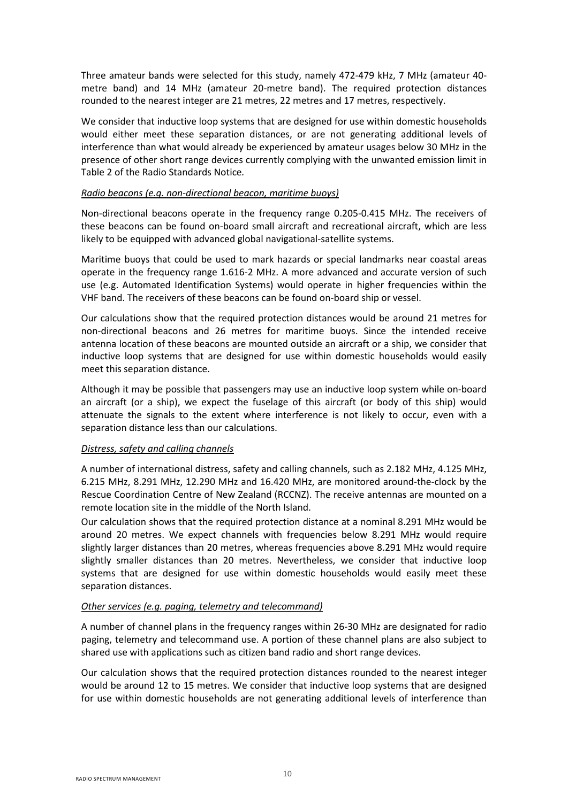Three amateur bands were selected for this study, namely 472-479 kHz, 7 MHz (amateur 40 metre band) and 14 MHz (amateur 20-metre band). The required protection distances rounded to the nearest integer are 21 metres, 22 metres and 17 metres, respectively.

We consider that inductive loop systems that are designed for use within domestic households would either meet these separation distances, or are not generating additional levels of interference than what would already be experienced by amateur usages below 30 MHz in the presence of other short range devices currently complying with the unwanted emission limit in Table 2 of the Radio Standards Notice*.*

#### *Radio beacons (e.g. non-directional beacon, maritime buoys)*

Non-directional beacons operate in the frequency range 0.205-0.415 MHz. The receivers of these beacons can be found on-board small aircraft and recreational aircraft, which are less likely to be equipped with advanced global navigational-satellite systems.

Maritime buoys that could be used to mark hazards or special landmarks near coastal areas operate in the frequency range 1.616-2 MHz. A more advanced and accurate version of such use (e.g. Automated Identification Systems) would operate in higher frequencies within the VHF band. The receivers of these beacons can be found on-board ship or vessel.

Our calculations show that the required protection distances would be around 21 metres for non-directional beacons and 26 metres for maritime buoys. Since the intended receive antenna location of these beacons are mounted outside an aircraft or a ship, we consider that inductive loop systems that are designed for use within domestic households would easily meet this separation distance.

Although it may be possible that passengers may use an inductive loop system while on-board an aircraft (or a ship), we expect the fuselage of this aircraft (or body of this ship) would attenuate the signals to the extent where interference is not likely to occur, even with a separation distance less than our calculations.

#### *Distress, safety and calling channels*

A number of international distress, safety and calling channels, such as 2.182 MHz, 4.125 MHz, 6.215 MHz, 8.291 MHz, 12.290 MHz and 16.420 MHz, are monitored around-the-clock by the Rescue Coordination Centre of New Zealand (RCCNZ). The receive antennas are mounted on a remote location site in the middle of the North Island.

Our calculation shows that the required protection distance at a nominal 8.291 MHz would be around 20 metres. We expect channels with frequencies below 8.291 MHz would require slightly larger distances than 20 metres, whereas frequencies above 8.291 MHz would require slightly smaller distances than 20 metres. Nevertheless, we consider that inductive loop systems that are designed for use within domestic households would easily meet these separation distances.

#### *Other services (e.g. paging, telemetry and telecommand)*

A number of channel plans in the frequency ranges within 26-30 MHz are designated for radio paging, telemetry and telecommand use. A portion of these channel plans are also subject to shared use with applications such as citizen band radio and short range devices.

Our calculation shows that the required protection distances rounded to the nearest integer would be around 12 to 15 metres. We consider that inductive loop systems that are designed for use within domestic households are not generating additional levels of interference than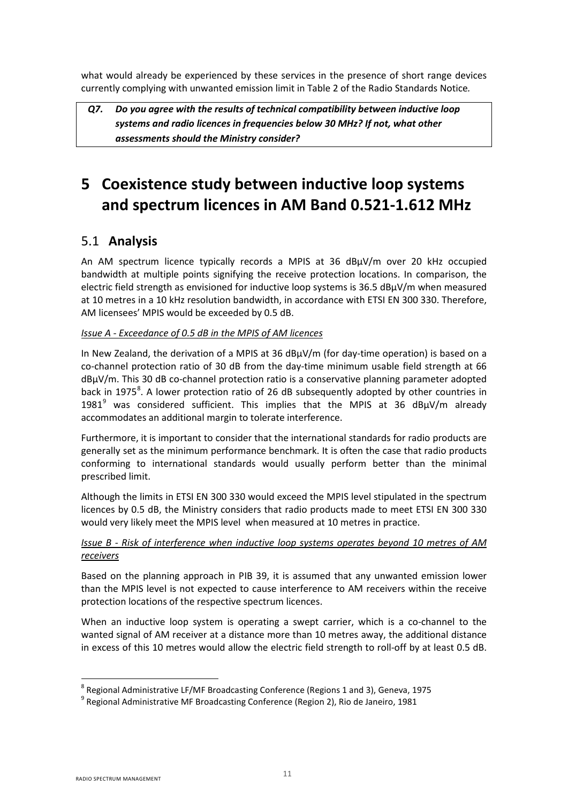what would already be experienced by these services in the presence of short range devices currently complying with unwanted emission limit in Table 2 of the Radio Standards Notice*.* 

*Q7. Do you agree with the results of technical compatibility between inductive loop systems and radio licences in frequencies below 30 MHz? If not, what other assessments should the Ministry consider?*

# <span id="page-15-0"></span>**5 Coexistence study between inductive loop systems and spectrum licences in AM Band 0.521-1.612 MHz**

# <span id="page-15-1"></span>5.1 **Analysis**

An AM spectrum licence typically records a MPIS at 36 dBμV/m over 20 kHz occupied bandwidth at multiple points signifying the receive protection locations. In comparison, the electric field strength as envisioned for inductive loop systems is 36.5 dBμV/m when measured at 10 metres in a 10 kHz resolution bandwidth, in accordance with ETSI EN 300 330. Therefore, AM licensees' MPIS would be exceeded by 0.5 dB.

### *Issue A - Exceedance of 0.5 dB in the MPIS of AM licences*

In New Zealand, the derivation of a MPIS at 36 dBμV/m (for day-time operation) is based on a co-channel protection ratio of 30 dB from the day-time minimum usable field strength at 66 dBμV/m. This 30 dB co-channel protection ratio is a conservative planning parameter adopted back in 1975<sup>[8](#page-15-2)</sup>. A lower protection ratio of 26 dB subsequently adopted by other countries in 1[9](#page-15-3)81<sup>9</sup> was considered sufficient. This implies that the MPIS at 36 dB $\mu$ V/m already accommodates an additional margin to tolerate interference.

Furthermore, it is important to consider that the international standards for radio products are generally set as the minimum performance benchmark. It is often the case that radio products conforming to international standards would usually perform better than the minimal prescribed limit.

Although the limits in ETSI EN 300 330 would exceed the MPIS level stipulated in the spectrum licences by 0.5 dB, the Ministry considers that radio products made to meet ETSI EN 300 330 would very likely meet the MPIS level when measured at 10 metres in practice.

### *Issue B - Risk of interference when inductive loop systems operates beyond 10 metres of AM receivers*

Based on the planning approach in PIB 39, it is assumed that any unwanted emission lower than the MPIS level is not expected to cause interference to AM receivers within the receive protection locations of the respective spectrum licences.

When an inductive loop system is operating a swept carrier, which is a co-channel to the wanted signal of AM receiver at a distance more than 10 metres away, the additional distance in excess of this 10 metres would allow the electric field strength to roll-off by at least 0.5 dB.

**.** 

<span id="page-15-2"></span><sup>8</sup> Regional Administrative LF/MF Broadcasting Conference (Regions 1 and 3), Geneva, 1975

<span id="page-15-3"></span> $9$  Regional Administrative MF Broadcasting Conference (Region 2), Rio de Janeiro, 1981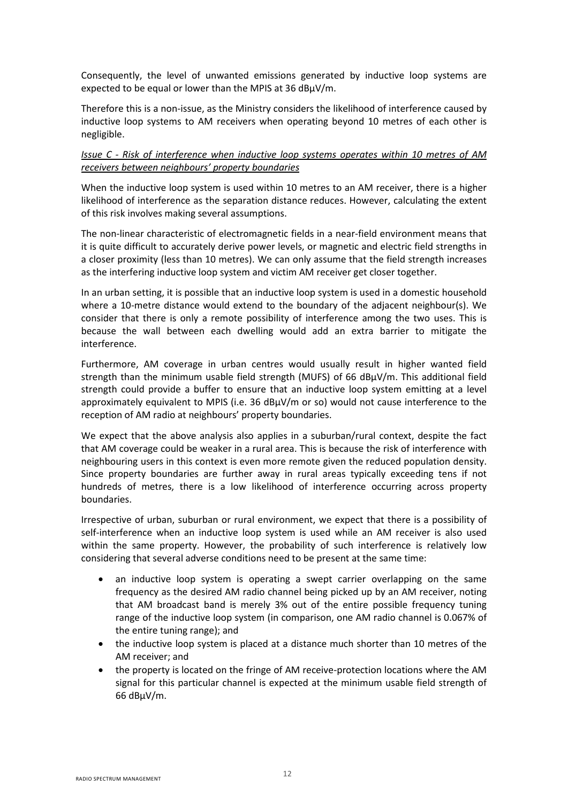Consequently, the level of unwanted emissions generated by inductive loop systems are expected to be equal or lower than the MPIS at 36 dBμV/m.

Therefore this is a non-issue, as the Ministry considers the likelihood of interference caused by inductive loop systems to AM receivers when operating beyond 10 metres of each other is negligible.

### *Issue C - Risk of interference when inductive loop systems operates within 10 metres of AM receivers between neighbours' property boundaries*

When the inductive loop system is used within 10 metres to an AM receiver, there is a higher likelihood of interference as the separation distance reduces. However, calculating the extent of this risk involves making several assumptions.

The non-linear characteristic of electromagnetic fields in a near-field environment means that it is quite difficult to accurately derive power levels, or magnetic and electric field strengths in a closer proximity (less than 10 metres). We can only assume that the field strength increases as the interfering inductive loop system and victim AM receiver get closer together.

In an urban setting, it is possible that an inductive loop system is used in a domestic household where a 10-metre distance would extend to the boundary of the adjacent neighbour(s). We consider that there is only a remote possibility of interference among the two uses. This is because the wall between each dwelling would add an extra barrier to mitigate the interference.

Furthermore, AM coverage in urban centres would usually result in higher wanted field strength than the minimum usable field strength (MUFS) of 66 dBμV/m. This additional field strength could provide a buffer to ensure that an inductive loop system emitting at a level approximately equivalent to MPIS (i.e. 36 dBμV/m or so) would not cause interference to the reception of AM radio at neighbours' property boundaries.

We expect that the above analysis also applies in a suburban/rural context, despite the fact that AM coverage could be weaker in a rural area. This is because the risk of interference with neighbouring users in this context is even more remote given the reduced population density. Since property boundaries are further away in rural areas typically exceeding tens if not hundreds of metres, there is a low likelihood of interference occurring across property boundaries.

Irrespective of urban, suburban or rural environment, we expect that there is a possibility of self-interference when an inductive loop system is used while an AM receiver is also used within the same property. However, the probability of such interference is relatively low considering that several adverse conditions need to be present at the same time:

- an inductive loop system is operating a swept carrier overlapping on the same frequency as the desired AM radio channel being picked up by an AM receiver, noting that AM broadcast band is merely 3% out of the entire possible frequency tuning range of the inductive loop system (in comparison, one AM radio channel is 0.067% of the entire tuning range); and
- the inductive loop system is placed at a distance much shorter than 10 metres of the AM receiver; and
- the property is located on the fringe of AM receive-protection locations where the AM signal for this particular channel is expected at the minimum usable field strength of 66 dBμV/m.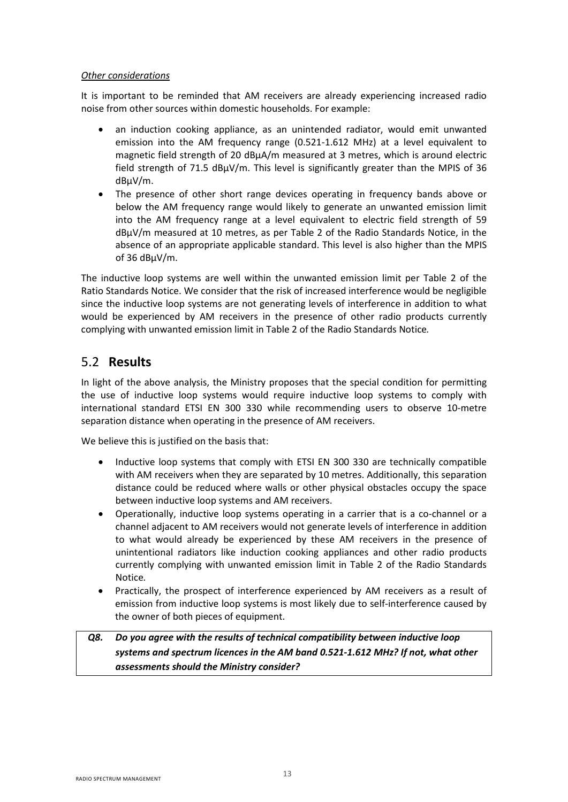### *Other considerations*

It is important to be reminded that AM receivers are already experiencing increased radio noise from other sources within domestic households. For example:

- an induction cooking appliance, as an unintended radiator, would emit unwanted emission into the AM frequency range (0.521-1.612 MHz) at a level equivalent to magnetic field strength of 20 dBμA/m measured at 3 metres, which is around electric field strength of 71.5  $dB\mu V/m$ . This level is significantly greater than the MPIS of 36 dBμV/m.
- The presence of other short range devices operating in frequency bands above or below the AM frequency range would likely to generate an unwanted emission limit into the AM frequency range at a level equivalent to electric field strength of 59 dBμV/m measured at 10 metres, as per Table 2 of the Radio Standards Notice, in the absence of an appropriate applicable standard. This level is also higher than the MPIS of 36 dBμV/m.

The inductive loop systems are well within the unwanted emission limit per Table 2 of the Ratio Standards Notice. We consider that the risk of increased interference would be negligible since the inductive loop systems are not generating levels of interference in addition to what would be experienced by AM receivers in the presence of other radio products currently complying with unwanted emission limit in Table 2 of the Radio Standards Notice*.*

### <span id="page-17-0"></span>5.2 **Results**

In light of the above analysis, the Ministry proposes that the special condition for permitting the use of inductive loop systems would require inductive loop systems to comply with international standard ETSI EN 300 330 while recommending users to observe 10-metre separation distance when operating in the presence of AM receivers.

We believe this is justified on the basis that:

- Inductive loop systems that comply with ETSI EN 300 330 are technically compatible with AM receivers when they are separated by 10 metres. Additionally, this separation distance could be reduced where walls or other physical obstacles occupy the space between inductive loop systems and AM receivers.
- Operationally, inductive loop systems operating in a carrier that is a co-channel or a channel adjacent to AM receivers would not generate levels of interference in addition to what would already be experienced by these AM receivers in the presence of unintentional radiators like induction cooking appliances and other radio products currently complying with unwanted emission limit in Table 2 of the Radio Standards Notice*.*
- Practically, the prospect of interference experienced by AM receivers as a result of emission from inductive loop systems is most likely due to self-interference caused by the owner of both pieces of equipment.

### *Q8. Do you agree with the results of technical compatibility between inductive loop systems and spectrum licences in the AM band 0.521-1.612 MHz? If not, what other assessments should the Ministry consider?*